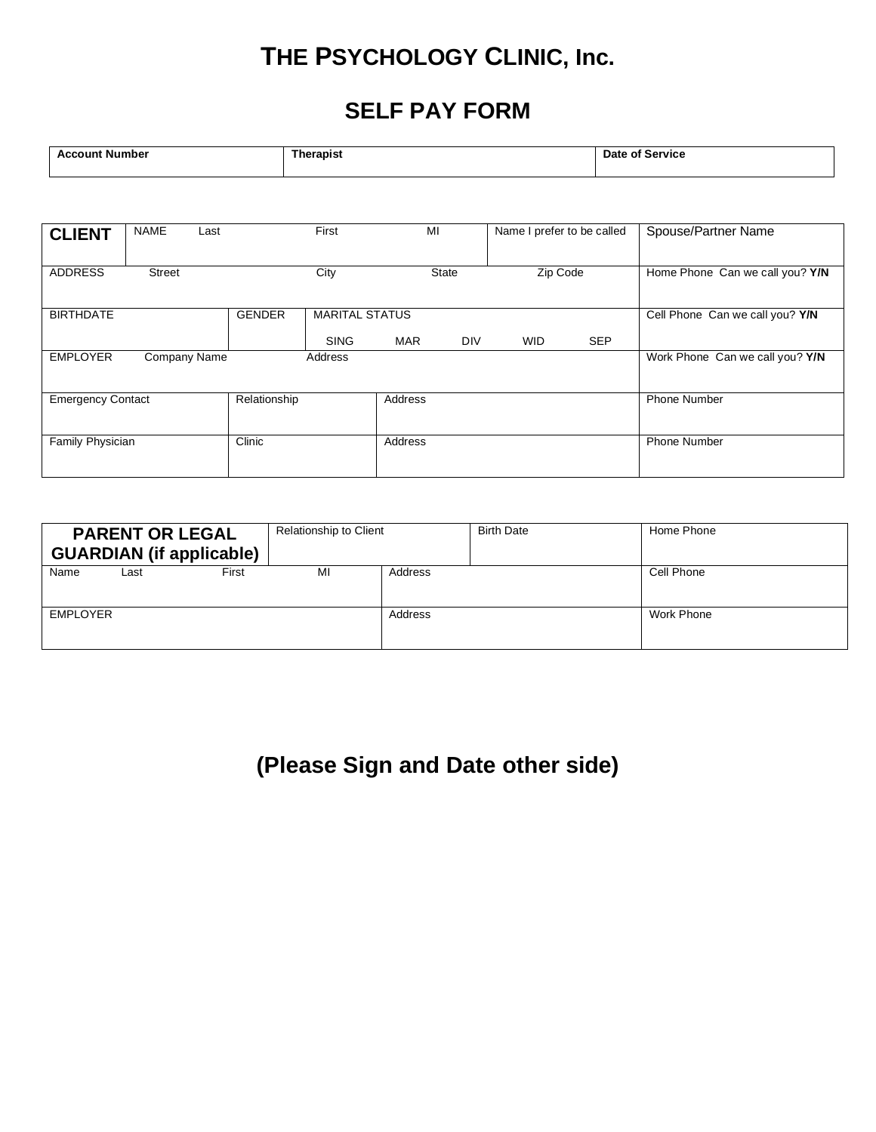## **THE PSYCHOLOGY CLINIC, Inc.**

## **SELF PAY FORM**

| <b>Account Number</b> | <b>herapist</b> | of Service<br>Date |
|-----------------------|-----------------|--------------------|
|-----------------------|-----------------|--------------------|

| <b>CLIENT</b>            | <b>NAME</b>         | Last |               | First                 | MI         |              | Name I prefer to be called |            | Spouse/Partner Name             |
|--------------------------|---------------------|------|---------------|-----------------------|------------|--------------|----------------------------|------------|---------------------------------|
| <b>ADDRESS</b>           | <b>Street</b>       |      |               | City                  |            | <b>State</b> | Zip Code                   |            | Home Phone Can we call you? Y/N |
|                          |                     |      |               |                       |            |              |                            |            |                                 |
| <b>BIRTHDATE</b>         |                     |      | <b>GENDER</b> | <b>MARITAL STATUS</b> |            |              |                            |            | Cell Phone Can we call you? Y/N |
|                          |                     |      |               | <b>SING</b>           | <b>MAR</b> | <b>DIV</b>   | <b>WID</b>                 | <b>SEP</b> |                                 |
| <b>EMPLOYER</b>          | <b>Company Name</b> |      |               | Address               |            |              |                            |            | Work Phone Can we call you? Y/N |
| <b>Emergency Contact</b> |                     |      | Relationship  |                       | Address    |              |                            |            | <b>Phone Number</b>             |
| Family Physician         |                     |      | Clinic        |                       | Address    |              |                            |            | <b>Phone Number</b>             |

| <b>PARENT OR LEGAL</b><br><b>GUARDIAN</b> (if applicable) |      |       | <b>Relationship to Client</b> |         | <b>Birth Date</b> | Home Phone |
|-----------------------------------------------------------|------|-------|-------------------------------|---------|-------------------|------------|
| Name                                                      | Last | First | MI                            | Address |                   | Cell Phone |
| EMPLOYER                                                  |      |       |                               | Address |                   | Work Phone |

## **(Please Sign and Date other side)**